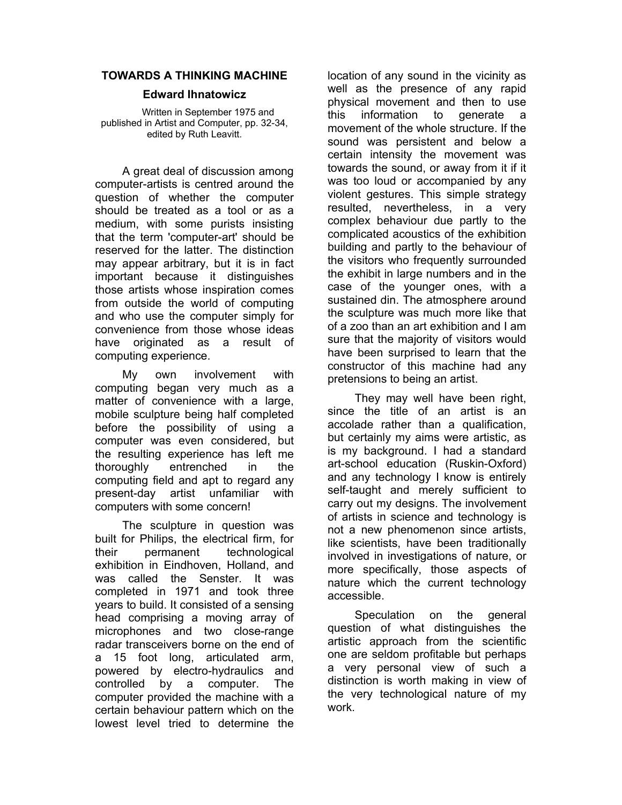## **TOWARDS A THINKING MACHINE**

## **Edward Ihnatowicz**

Written in September 1975 and published in Artist and Computer, pp. 32-34, edited by Ruth Leavitt.

A great deal of discussion among computer-artists is centred around the question of whether the computer should be treated as a tool or as a medium, with some purists insisting that the term 'computer-art' should be reserved for the latter. The distinction may appear arbitrary, but it is in fact important because it distinguishes those artists whose inspiration comes from outside the world of computing and who use the computer simply for convenience from those whose ideas have originated as a result of computing experience.

My own involvement with computing began very much as a matter of convenience with a large, mobile sculpture being half completed before the possibility of using a computer was even considered, but the resulting experience has left me thoroughly entrenched in the computing field and apt to regard any present-day artist unfamiliar with computers with some concern!

The sculpture in question was built for Philips, the electrical firm, for their permanent technological exhibition in Eindhoven, Holland, and was called the Senster. It was completed in 1971 and took three years to build. It consisted of a sensing head comprising a moving array of microphones and two close-range radar transceivers borne on the end of a 15 foot long, articulated arm, powered by electro-hydraulics and controlled by a computer. The computer provided the machine with a certain behaviour pattern which on the lowest level tried to determine the

location of any sound in the vicinity as well as the presence of any rapid physical movement and then to use this information to generate a movement of the whole structure. If the sound was persistent and below a certain intensity the movement was towards the sound, or away from it if it was too loud or accompanied by any violent gestures. This simple strategy resulted, nevertheless, in a very complex behaviour due partly to the complicated acoustics of the exhibition building and partly to the behaviour of the visitors who frequently surrounded the exhibit in large numbers and in the case of the younger ones, with a sustained din. The atmosphere around the sculpture was much more like that of a zoo than an art exhibition and I am sure that the majority of visitors would have been surprised to learn that the constructor of this machine had any pretensions to being an artist.

They may well have been right, since the title of an artist is an accolade rather than a qualification, but certainly my aims were artistic, as is my background. I had a standard art-school education (Ruskin-Oxford) and any technology I know is entirely self-taught and merely sufficient to carry out my designs. The involvement of artists in science and technology is not a new phenomenon since artists, like scientists, have been traditionally involved in investigations of nature, or more specifically, those aspects of nature which the current technology accessible.

Speculation on the general question of what distinguishes the artistic approach from the scientific one are seldom profitable but perhaps a very personal view of such a distinction is worth making in view of the very technological nature of my work.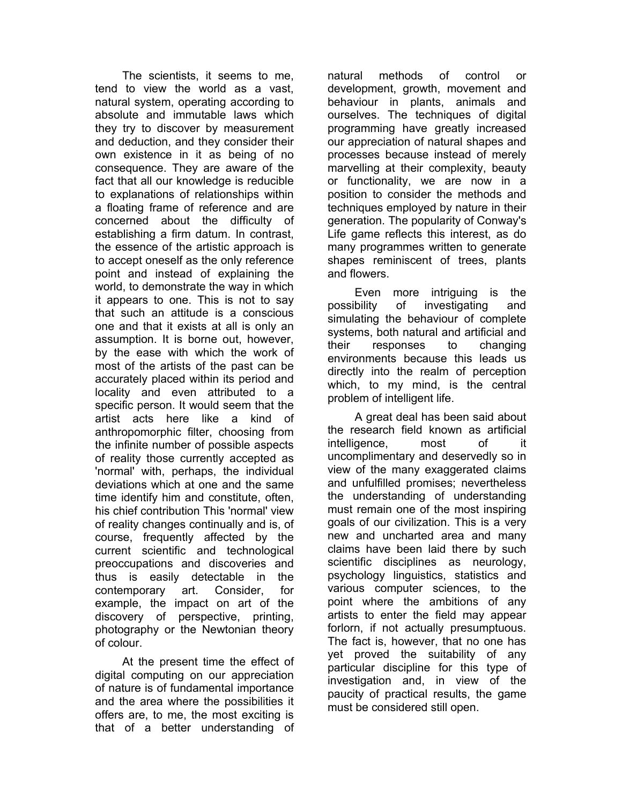The scientists, it seems to me, tend to view the world as a vast, natural system, operating according to absolute and immutable laws which they try to discover by measurement and deduction, and they consider their own existence in it as being of no consequence. They are aware of the fact that all our knowledge is reducible to explanations of relationships within a floating frame of reference and are concerned about the difficulty of establishing a firm datum. In contrast, the essence of the artistic approach is to accept oneself as the only reference point and instead of explaining the world, to demonstrate the way in which it appears to one. This is not to say that such an attitude is a conscious one and that it exists at all is only an assumption. It is borne out, however, by the ease with which the work of most of the artists of the past can be accurately placed within its period and locality and even attributed to a specific person. It would seem that the artist acts here like a kind of anthropomorphic filter, choosing from the infinite number of possible aspects of reality those currently accepted as 'normal' with, perhaps, the individual deviations which at one and the same time identify him and constitute, often, his chief contribution This 'normal' view of reality changes continually and is, of course, frequently affected by the current scientific and technological preoccupations and discoveries and thus is easily detectable in the contemporary art. Consider, for example, the impact on art of the discovery of perspective, printing, photography or the Newtonian theory of colour.

At the present time the effect of digital computing on our appreciation of nature is of fundamental importance and the area where the possibilities it offers are, to me, the most exciting is that of a better understanding of natural methods of control or development, growth, movement and behaviour in plants, animals and ourselves. The techniques of digital programming have greatly increased our appreciation of natural shapes and processes because instead of merely marvelling at their complexity, beauty or functionality, we are now in a position to consider the methods and techniques employed by nature in their generation. The popularity of Conway's Life game reflects this interest, as do many programmes written to generate shapes reminiscent of trees, plants and flowers.

Even more intriguing is the possibility of investigating and simulating the behaviour of complete systems, both natural and artificial and their responses to changing environments because this leads us directly into the realm of perception which, to my mind, is the central problem of intelligent life.

A great deal has been said about the research field known as artificial intelligence, most of uncomplimentary and deservedly so in view of the many exaggerated claims and unfulfilled promises; nevertheless the understanding of understanding must remain one of the most inspiring goals of our civilization. This is a very new and uncharted area and many claims have been laid there by such scientific disciplines as neurology, psychology linguistics, statistics and various computer sciences, to the point where the ambitions of any artists to enter the field may appear forlorn, if not actually presumptuous. The fact is, however, that no one has yet proved the suitability of any particular discipline for this type of investigation and, in view of the paucity of practical results, the game must be considered still open.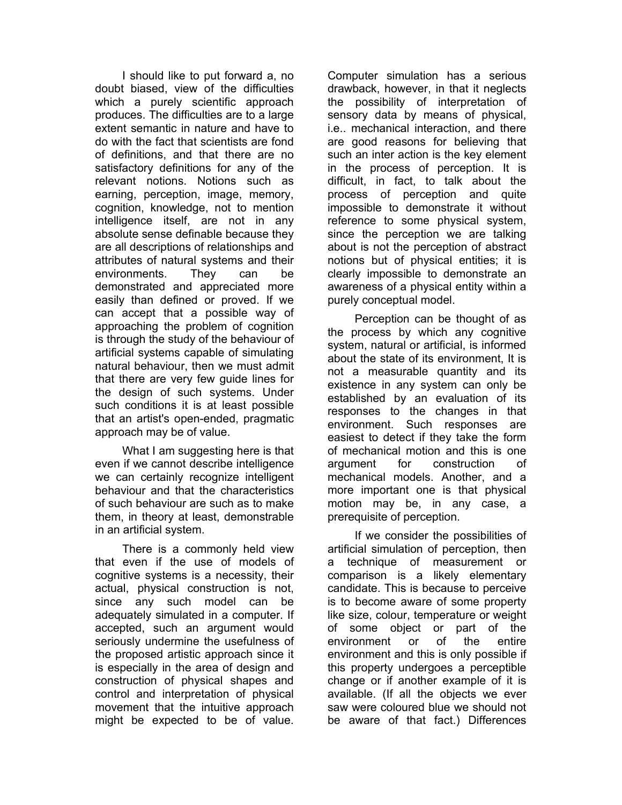I should like to put forward a, no doubt biased, view of the difficulties which a purely scientific approach produces. The difficulties are to a large extent semantic in nature and have to do with the fact that scientists are fond of definitions, and that there are no satisfactory definitions for any of the relevant notions. Notions such as earning, perception, image, memory, cognition, knowledge, not to mention intelligence itself, are not in any absolute sense definable because they are all descriptions of relationships and attributes of natural systems and their environments. They can be demonstrated and appreciated more easily than defined or proved. If we can accept that a possible way of approaching the problem of cognition is through the study of the behaviour of artificial systems capable of simulating natural behaviour, then we must admit that there are very few guide lines for the design of such systems. Under such conditions it is at least possible that an artist's open-ended, pragmatic approach may be of value.

What I am suggesting here is that even if we cannot describe intelligence we can certainly recognize intelligent behaviour and that the characteristics of such behaviour are such as to make them, in theory at least, demonstrable in an artificial system.

There is a commonly held view that even if the use of models of cognitive systems is a necessity, their actual, physical construction is not, since any such model can be adequately simulated in a computer. If accepted, such an argument would seriously undermine the usefulness of the proposed artistic approach since it is especially in the area of design and construction of physical shapes and control and interpretation of physical movement that the intuitive approach might be expected to be of value.

Computer simulation has a serious drawback, however, in that it neglects the possibility of interpretation of sensory data by means of physical, i.e.. mechanical interaction, and there are good reasons for believing that such an inter action is the key element in the process of perception. It is difficult, in fact, to talk about the process of perception and quite impossible to demonstrate it without reference to some physical system, since the perception we are talking about is not the perception of abstract notions but of physical entities; it is clearly impossible to demonstrate an awareness of a physical entity within a purely conceptual model.

Perception can be thought of as the process by which any cognitive system, natural or artificial, is informed about the state of its environment, It is not a measurable quantity and its existence in any system can only be established by an evaluation of its responses to the changes in that environment. Such responses are easiest to detect if they take the form of mechanical motion and this is one argument for construction of mechanical models. Another, and a more important one is that physical motion may be, in any case, a prerequisite of perception.

If we consider the possibilities of artificial simulation of perception, then a technique of measurement or comparison is a likely elementary candidate. This is because to perceive is to become aware of some property like size, colour, temperature or weight of some object or part of the environment or of the entire environment and this is only possible if this property undergoes a perceptible change or if another example of it is available. (If all the objects we ever saw were coloured blue we should not be aware of that fact.) Differences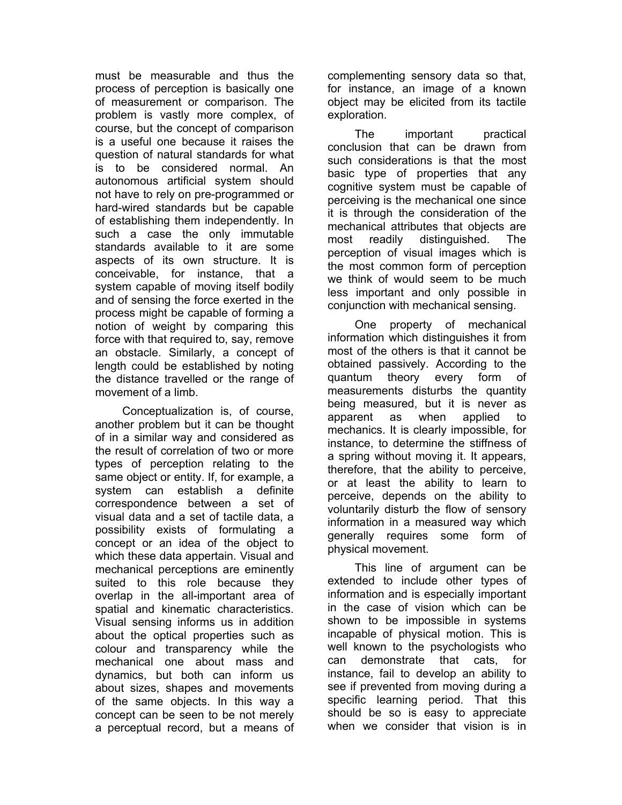must be measurable and thus the process of perception is basically one of measurement or comparison. The problem is vastly more complex, of course, but the concept of comparison is a useful one because it raises the question of natural standards for what is to be considered normal. An autonomous artificial system should not have to rely on pre-programmed or hard-wired standards but be capable of establishing them independently. In such a case the only immutable standards available to it are some aspects of its own structure. It is conceivable, for instance, that a system capable of moving itself bodily and of sensing the force exerted in the process might be capable of forming a notion of weight by comparing this force with that required to, say, remove an obstacle. Similarly, a concept of length could be established by noting the distance travelled or the range of movement of a limb.

Conceptualization is, of course, another problem but it can be thought of in a similar way and considered as the result of correlation of two or more types of perception relating to the same object or entity. If, for example, a system can establish a definite correspondence between a set of visual data and a set of tactile data, a possibility exists of formulating a concept or an idea of the object to which these data appertain. Visual and mechanical perceptions are eminently suited to this role because they overlap in the all-important area of spatial and kinematic characteristics. Visual sensing informs us in addition about the optical properties such as colour and transparency while the mechanical one about mass and dynamics, but both can inform us about sizes, shapes and movements of the same objects. In this way a concept can be seen to be not merely a perceptual record, but a means of

complementing sensory data so that, for instance, an image of a known object may be elicited from its tactile exploration.

The important practical conclusion that can be drawn from such considerations is that the most basic type of properties that any cognitive system must be capable of perceiving is the mechanical one since it is through the consideration of the mechanical attributes that objects are most readily distinguished. The perception of visual images which is the most common form of perception we think of would seem to be much less important and only possible in conjunction with mechanical sensing.

One property of mechanical information which distinguishes it from most of the others is that it cannot be obtained passively. According to the quantum theory every form of measurements disturbs the quantity being measured, but it is never as apparent as when applied to mechanics. It is clearly impossible, for instance, to determine the stiffness of a spring without moving it. It appears, therefore, that the ability to perceive, or at least the ability to learn to perceive, depends on the ability to voluntarily disturb the flow of sensory information in a measured way which generally requires some form of physical movement.

This line of argument can be extended to include other types of information and is especially important in the case of vision which can be shown to be impossible in systems incapable of physical motion. This is well known to the psychologists who can demonstrate that cats, for instance, fail to develop an ability to see if prevented from moving during a specific learning period. That this should be so is easy to appreciate when we consider that vision is in